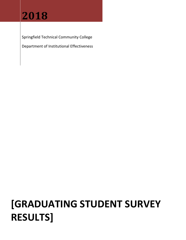# **2018**

Springfield Technical Community College

Department of Institutional Effectiveness

# **[GRADUATING STUDENT SURVEY RESULTS]**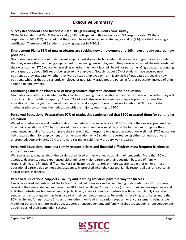# **Executive Summary**

#### **Survey Respondents and Response Rate: 385 graduating students took survey**

 Of the 592 students at Cap & Gown Pick‐Up, 385 participated in this survey for a 65% response rate. Of these respondents, 345 (91%) reported that they would be receiving an associate degree and 36 (9%) reported receiving a certificate. There were 986 students receiving degrees in FY2018.

#### Employment Plans: 58% of new graduates are seeking new employment and 10% have already secured new **positions**

 Graduates were asked about their current employment status which includes military service. If graduates responded that they were either continuing employment or beginning new employment, they were asked about the relationship of their work to their STCC education as well as whether their work is or will be full‐ or part‐time. Of graduates responding to this question, about 69% report being currently employed. Notably, about 10% of students have secured new positions as they graduate, whether they were already employed or not. Nearly 58% of graduates are seeking new positions, whether they are currently employed or not. Many graduates are pursuing further education instead of or in addition to employment.

#### **Continuing Education Plans: 69% of new graduates expect to continue their education**

 Graduates were asked about whether they will be continuing their education within the next year and whether they will do so in a full‐ or part‐time capacity. About 69% of graduates receiving associates degrees plan to continue their education within the year, with most planning to attend a 4‐year college or university. About 67% of certificate graduates plan to continue their education with the majority returning to STCC.

#### Perceived Educational Preparation: 97% of graduating students feel that STCC prepared them for continuing **education**

 We asked graduates several questions about their educational experience at STCC including their overall preparedness, how their education at STCC had improved their academic and personal skills, and the barriers and supports they experienced in their efforts to complete their credentials. In response to a question about how well their STCC education had prepared them for employment or further education, only 6 students reported being either somewhat or very unprepared. Approximately 70% of all award recipients said they were very well prepared.

### Perceived Educational Barriers: Family responsibilities and financial difficulties most frequent barriers to  **student success**

 We also asked graduates about the barriers they faced as they worked to obtain their credential. More than 50% of associate degree students experienced either minor or major barriers to their education because of: family responsibilities and financial difficulties. For certificate recipients, 50% or more experienced either minor or major educational barriers due to: not being academically prepared when they started, family responsibilities, and personal and/or health challenges.

#### **Perceived Educational Supports: Faculty and learning activities pave the way for success**

 Finally, we asked students about the factors that helped them succeed in completing their credentials. For students receiving their associate degree, more than 90% cited faculty and/or instructors (in‐class time), in‐class experience and activities, out‐of‐class homework and projects, faculty and/or instructors (out‐of‐class times), and family inspiration, support, and encouragement as being a part of their completion success. For students receiving certificates, more than 90% faculty and/or instructors (in‐class time), other, non‐family inspiration, support, or encouragement, being a role model for others, classmate inspiration, support, or encouragement, and family inspiration, support, or encouragement as being part of their completion success.

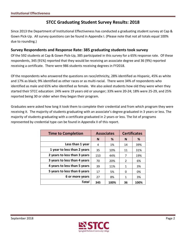## **STCC Graduating Student Survey Results: 2018**

 Since 2013 the Department of Institutional Effectiveness has conducted a graduating student survey at Cap & Gown Pick‐Up. All survey questions can be found in Appendix I. (Please note that not all totals equal 100% due to rounding.)

## **Survey Respondents and Response Rate: 385 graduating students took survey**

 Of the 592 students at Cap & Gown Pick‐Up, 385 participated in this survey for a 65% response rate. Of these respondents, 345 (91%) reported that they would be receiving an associate degree and 36 (9%) reported receiving a certificate. There were 986 students receiving degrees in FY2018.

 Of the respondents who answered the questions on race/ethnicity, 28% identified as Hispanic, 45% as white and 17% as black; 9% identified as other races or as multi‐racial. There were 34% of respondents who identified as male and 65% who identified as female. We also asked students how old they were when they started their STCC education: 24% were 19 years old or younger; 33% were 20‐24; 18% were 25‐29, and 25% reported being 30 or older when they began their program.

 Graduates were asked how long it took them to complete their credential and from which program they were receiving it. The majority of students graduating with an associate's degree graduated in 3 years or less. The majority of students graduating with a certificate graduated in 2 years or less. The list of programs represented by credential type can be found in Appendix II of this report.

| <b>Time to Completion</b>    |        | <b>Associates</b> | <b>Certificates</b> |      |  |
|------------------------------|--------|-------------------|---------------------|------|--|
|                              | %<br>N |                   | N                   | %    |  |
| Less than 1 year             | 4      | 1%                | 14                  | 39%  |  |
| 1 year to less than 2 years  | 35     | 10%               | 11                  | 31%  |  |
| 2 years to less than 3 years | 153    | 44%               | 7                   | 19%  |  |
| 3 years to less than 4 years | 70     | 20%               | $\mathcal{P}$       | 6%   |  |
| 4 years to less than 5 years | 39     | 11%               | 1                   | 3%   |  |
| 5 years to less than 6 years | 17     | 5%                | 0                   | 0%   |  |
| 6 or more years              | 27     | 8%                | 1                   | 3%   |  |
| Total                        | 345    | 100%              | 36                  | 100% |  |

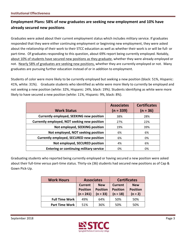## **Employment Plans: 58% of new graduates are seeking new employment and 10% have already secured new positions**

 Graduates were asked about their current employment status which includes military service. If graduates responded that they were either continuing employment or beginning new employment, they were asked about the relationship of their work to their STCC education as well as whether their work is or will be full‐ or part-time. Of graduates responding to this question, about 69% report being currently employed. Notably, about 10% of students have secured new positions as they graduate, whether they were already employed or not. Nearly 58% of graduates are seeking new positions, whether they are currently employed or not. Many graduates are pursuing further education instead of or in addition to employment.

 Students of color were more likely to be currently employed but seeking a new position (black: 51%, Hispanic: 41%, white: 31%). Graduate students who identified as white were more likely to currently be employed and not seeking a new position (white: 32%, Hispanic: 24%, black: 19%). Students identifying as white were more likely to have secured a new position (white: 11%, Hispanic: 9%, black: 8%).

|                                                 | <b>Associates</b> | <b>Certificates</b> |
|-------------------------------------------------|-------------------|---------------------|
| <b>Work Status</b>                              | $(n = 339)$       | $(n = 36)$          |
| <b>Currently employed, SEEKING new position</b> | 38%               | 28%                 |
| Currently employed, NOT seeking new position    | 27%               | 22%                 |
| Not employed, SEEKING position                  | 19%               | 39%                 |
| Not employed, NOT seeking position              | 6%                | 6%                  |
| <b>Currently employed, SECURED new position</b> | 6%                | 0%                  |
| Not employed, SECURED position                  | 4%                | 6%                  |
| <b>Entering or continuing military service</b>  | 0%                | 0%                  |

 Graduating students who reported being currently employed or having secured a new position were asked about their full‐time versus part‐time status. Thirty‐six (36) students had secured new positions as of Cap & Gown Pick‐Up.

| <b>Work Hours</b>     | <b>Associates</b>                                |                                             |                                                 | <b>Certificates</b>                        |
|-----------------------|--------------------------------------------------|---------------------------------------------|-------------------------------------------------|--------------------------------------------|
|                       | <b>Current</b><br><b>Position</b><br>$(n = 241)$ | <b>New</b><br><b>Position</b><br>$(n = 33)$ | <b>Current</b><br><b>Position</b><br>$(n = 18)$ | <b>New</b><br><b>Position</b><br>$(n = 2)$ |
| <b>Full Time Work</b> | 49%                                              | 64%                                         | 50%                                             | 50%                                        |
| <b>Part Time Work</b> | 51%                                              | 36%                                         | 50%                                             | 50%                                        |

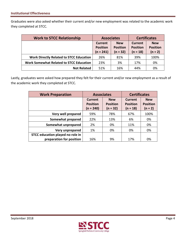Graduates were also asked whether their current and/or new employment was related to the academic work they completed at STCC.

| <b>Work to STCC Relationship</b>               | <b>Associates</b>                                           |                           | <b>Certificates</b>                      |                               |  |
|------------------------------------------------|-------------------------------------------------------------|---------------------------|------------------------------------------|-------------------------------|--|
|                                                | <b>New</b><br>Current<br><b>Position</b><br><b>Position</b> |                           | Current<br><b>Position</b><br>$(n = 18)$ | <b>New</b><br><b>Position</b> |  |
|                                                |                                                             | $(n = 32)$<br>$(n = 241)$ |                                          | $(n = 2)$                     |  |
| <b>Work Directly Related to STCC Education</b> | 26%                                                         | 81%                       | 39%                                      | 100%                          |  |
| <b>Work Somewhat Related to STCC Education</b> | 23%                                                         | 3%                        | 17%                                      | 0%                            |  |
| <b>Not Related</b>                             | 51%                                                         | 16%                       | 44%                                      | 0%                            |  |

 Lastly, graduates were asked how prepared they felt for their current and/or new employment as a result of the academic work they completed at STCC.

| <b>Work Preparation</b>          | <b>Associates</b>                                |                                             | <b>Certificates</b>                             |                                            |  |
|----------------------------------|--------------------------------------------------|---------------------------------------------|-------------------------------------------------|--------------------------------------------|--|
|                                  | <b>Current</b><br><b>Position</b><br>$(n = 240)$ | <b>New</b><br><b>Position</b><br>$(n = 32)$ | <b>Current</b><br><b>Position</b><br>$(n = 18)$ | <b>New</b><br><b>Position</b><br>$(n = 2)$ |  |
| Very well prepared               | 59%<br>78%                                       |                                             | 67%                                             | 100%                                       |  |
| Somewhat prepared                | 22%                                              | 13%                                         | 6%                                              | 0%                                         |  |
| Somewhat unprepared              | 2%                                               | 0%                                          | 11%                                             | 0%                                         |  |
| Very unprepared                  | 1%                                               | 0%                                          | 0%                                              | 0%                                         |  |
| STCC education played no role in |                                                  |                                             |                                                 |                                            |  |
| preparation for position         | 16%                                              | 9%                                          | 17%                                             | 0%                                         |  |

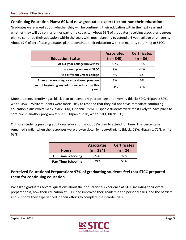## **Continuing Education Plans: 69% of new graduates expect to continue their education**

 Graduates were asked about whether they will be continuing their education within the next year and whether they will do so in a full‐ or part‐time capacity. About 69% of graduates receiving associates degrees plan to continue their education within the year, with most planning to attend a 4‐year college or university. About 67% of certificate graduates plan to continue their education with the majority returning to STCC.

| <b>Education Status</b>                                  | <b>Associates</b><br>$(n = 340)$ | <b>Certificates</b><br>$(n = 36)$ |
|----------------------------------------------------------|----------------------------------|-----------------------------------|
| At a 4-year college/university                           | 56%                              | 11%                               |
| In a new program at STCC                                 | 9%                               | 44%                               |
| At a different 2 year college                            | 4%                               | 6%                                |
| At another non-degree educational program                | 1%                               | 6%                                |
| I'm not beginning any additional education this<br>vear. | 31%                              | 33%                               |

 More students identifying as black plan to attend a 4‐year college or university (black: 62%, Hispanic: 50%, white: 45%). White students were more likely to respond that they did not have immediate continuing education plans (white: 40%, black: 30%, Hispanic: 25%). Hispanic students were most likely to have plans to continue in another program at STCC (Hispanic: 20%, white: 10%, black: 3%).

 Of those students pursuing additional education, about 68% plan to attend full time. This percentage remained similar when the responses were broken down by race/ethnicity (black: 68%, Hispanic: 72%, white: 63%).

| <b>Hours</b>               | <b>Associates</b><br>$(n = 234)$ | <b>Certificates</b><br>$(n = 24)$ |
|----------------------------|----------------------------------|-----------------------------------|
| <b>Full Time Schooling</b> | 71%                              | 42%                               |
| <b>Part Time Schooling</b> | 29%                              | 58%                               |

## **Perceived Educational Preparation: 97% of graduating students feel that STCC prepared them for continuing education**

 We asked graduates several questions about their educational experience at STCC including their overall preparedness, how their education at STCC had improved their academic and personal skills, and the barriers and supports they experienced in their efforts to complete their credentials.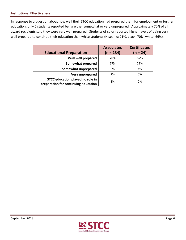In response to a question about how well their STCC education had prepared them for employment or further education, only 6 students reported being either somewhat or very unprepared. Approximately 70% of all award recipients said they were very well prepared. Students of color reported higher levels of being very well prepared to continue their education than white students (Hispanic: 71%, black: 70%, white: 66%).

| <b>Educational Preparation</b>       | <b>Associates</b><br>$(n = 234)$ | <b>Certificates</b><br>$(n = 24)$ |
|--------------------------------------|----------------------------------|-----------------------------------|
| Very well prepared                   | 70%                              | 67%                               |
| Somewhat prepared                    | 27%                              | 29%                               |
| Somewhat unprepared                  | 0%                               | 4%                                |
| Very unprepared                      | 2%                               | 0%                                |
| STCC education played no role in     | 1%                               | 0%                                |
| preparation for continuing education |                                  |                                   |

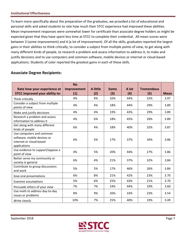To learn more specifically about the preparation of the graduates, we provided a list of educational and personal skills and asked students to rate how much their STCC experience had improved these abilities. Mean improvement responses were somewhat lower for certificate than associate degree holders as might be expected given that they have spent less time at STCC to complete their credential. All mean scores were between 3 (some improvement) and 4 (a lot of improvement). Of all the skills, graduates reported the largest gains in their abilities to think critically, to consider a subject from multiple points of view, to get along with many different kinds of people, to research a problem and assess information to address it, to make and justify decisions and to use computers and common software, mobile devices or internet or cloud‐based applications. Students of color reported the greatest gains in each of these skills.

## **Associate Degree Recipients:**

| Rate how your experience at                                                                        | <b>No</b><br>Improvement | A little | Some | A lot | <b>Tremendous</b> |             |
|----------------------------------------------------------------------------------------------------|--------------------------|----------|------|-------|-------------------|-------------|
| <b>STCC improved your ability to:</b>                                                              | (1)                      | (2)      | (3)  | (4)   | (5)               | <b>Mean</b> |
| Think critically                                                                                   | 4%                       | 4%       | 16%  | 44%   | 32%               | 3.97        |
| Consider a subject from multiple<br>points of view                                                 | 4%                       | 4%       | 18%  | 44%   | 29%               | 3.89        |
| Make and justify decisions                                                                         | 4%                       | 4%       | 19%  | 43%   | 29%               | 3.89        |
| Research a problem and assess<br>information to address it                                         | 4%                       | 6%       | 18%  | 45%   | 28%               | 3.89        |
| Get along with many different<br>kinds of people                                                   | 6%                       | 4%       | 18%  | 40%   | 32%               | 3.87        |
| Use computers and common<br>software, mobile devices or<br>internet or cloud-based<br>applications | 6%                       | 5%       | 17%  | 37%   | 34%               | 3.86        |
| Use evidence to support/oppose a<br>point of view                                                  | 4%                       | 5%       | 20%  | 44%   | 27%               | 3.86        |
| Better serve my community or<br>society in general                                                 | 6%                       | 4%       | 21%  | 37%   | 32%               | 3.84        |
| Contribute to group discussions<br>and work                                                        | 5%                       | 5%       | 17%  | 46%   | 26%               | 3.84        |
| Give oral presentations                                                                            | 6%                       | 8%       | 21%  | 42%   | 23%               | 3.70        |
| <b>Examine assumptions</b>                                                                         | 5%                       | 6%       | 25%  | 43%   | 21%               | 3.70        |
| Persuade others of your view                                                                       | 7%                       | 7%       | 24%  | 44%   | 19%               | 3.60        |
| Use math to address day-to-day<br>issues or problems                                               | 8%                       | 9%       | 26%  | 33%   | 23%               | 3.54        |
| Write clearly                                                                                      | 10%                      | 7%       | 25%  | 40%   | 19%               | 3.49        |

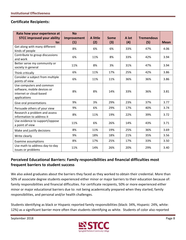## **Certificate Recipients:**

| Rate how your experience at<br><b>STCC improved your ability</b><br>to:                            | <b>No</b><br>Improvement<br>(1) | A little<br>(2) | <b>Some</b><br>(3) | A lot<br>(4) | <b>Tremendous</b><br>(5) | <b>Mean</b> |
|----------------------------------------------------------------------------------------------------|---------------------------------|-----------------|--------------------|--------------|--------------------------|-------------|
| Get along with many different<br>kinds of people                                                   | 8%                              | 6%              | 6%                 | 33%          | 47%                      | 4.06        |
| Contribute to group discussions<br>and work                                                        | 6%                              | 11%             | 8%                 | 33%          | 42%                      | 3.94        |
| Better serve my community or<br>society in general                                                 | 11%                             | 8%              | 3%                 | 31%          | 47%                      | 3.94        |
| Think critically                                                                                   | 6%                              | 11%             | 17%                | 25%          | 42%                      | 3.86        |
| Consider a subject from multiple<br>points of view                                                 | 6%                              | 11%             | 11%                | 36%          | 36%                      | 3.86        |
| Use computers and common<br>software, mobile devices or<br>internet or cloud-based<br>applications | 8%                              | 8%              | 14%                | 33%          | 36%                      | 3.81        |
| Give oral presentations                                                                            | 9%                              | 3%              | 29%                | 23%          | 37%                      | 3.77        |
| Persuade others of your view                                                                       | 9%                              | 6%              | 29%                | 17%          | 40%                      | 3.74        |
| Research a problem and assess<br>information to address it                                         | 8%                              | 11%             | 19%                | 22%          | 39%                      | 3.72        |
| Use evidence to support/oppose<br>a point of view                                                  | 11%                             | 6%              | 26%                | 14%          | 43%                      | 3.71        |
| Make and justify decisions                                                                         | 8%                              | 11%             | 19%                | 25%          | 36%                      | 3.69        |
| Write clearly                                                                                      | 9%                              | 18%             | 18%                | 21%          | 35%                      | 3.56        |
| Examine assumptions                                                                                | 8%                              | 17%             | 25%                | 17%          | 33%                      | 3.50        |
| Use math to address day-to-day<br>issues or problems                                               | 11%                             | 14%             | 26%                | 20%          | 29%                      | 3.40        |

## **Perceived Educational Barriers: Family responsibilities and financial difficulties most frequent barriers to student success**

 We also asked graduates about the barriers they faced as they worked to obtain their credential. More than 50% of associate degree students experienced either minor or major barriers to their education because of: family responsibilities and financial difficulties. For certificate recipients, 50% or more experienced either minor or major educational barriers due to: not being academically prepared when they started, family responsibilities, and personal and/or health challenges.

 Students identifying as black or Hispanic reported family responsibilities (black: 34%, Hispanic: 24%, white: 12%) as a significant barrier more often than students identifying as white. Students of color also reported

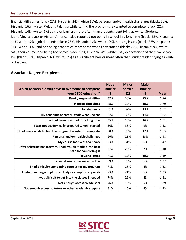financial difficulties (black 27%, Hispanic: 24%, white 10%), personal and/or health challenges (black: 20%, Hispanic: 16%, white: 7%), and taking a while to find the program they wanted to complete (black: 22%, Hispanic: 14%, white: 9%) as major barriers more often than students identifying as white. Students identifying as black or African American also reported not being in school in a long time (black: 28%, Hispanic: 14%, white 12%), job demands (black: 25%, Hispanic: 12%, white: 9%), housing issues (black: 22%, Hispanic: 11%, white: 3%), and not being academically prepared when they started (black: 22%, Hispanic: 8%, white: 5%), their course load being too heavy (black: 17%, Hispanic: 4%, white: 3%), expectations of them were too low (black: 15%, Hispanic: 6%, white: 5%) as a significant barrier more often than students identifying as white or Hispanic.

## **Associate Degree Recipients:**

| Which barriers did you have to overcome to complete                                  | Not a<br><b>barrier</b> | <b>Minor</b><br>barrier | <b>Major</b><br>barrier |             |
|--------------------------------------------------------------------------------------|-------------------------|-------------------------|-------------------------|-------------|
| your STCC education?                                                                 | (1)                     | (2)                     | (3)                     | <b>Mean</b> |
| <b>Family responsibilities</b>                                                       | 47%                     | 30%                     | 23%                     | 1.76        |
| <b>Financial difficulties</b>                                                        | 48%                     | 33%                     | 18%                     | 1.70        |
| Job demands                                                                          | 51%                     | 37%                     | 13%                     | 1.62        |
| My academic or career goals were unclear                                             | 52%                     | 34%                     | 14%                     | 1.62        |
| I had not been in school for a long time                                             | 55%                     | 28%                     | 16%                     | 1.61        |
| I was not academically prepared when I started                                       | 56%                     | 35%                     | 9%                      | 1.53        |
| It took me a while to find the program I wanted to complete                          | 60%                     | 28%                     | 12%                     | 1.53        |
| Personal and/or health challenges                                                    | 66%                     | 21%                     | 13%                     | 1.48        |
| My course load was too heavy                                                         | 63%                     | 31%                     | 6%                      | 1.42        |
| After selecting my program, I had trouble finding the best<br>path for completing it | 67%                     | 26%                     | 7%                      | 1.40        |
| <b>Housing issues</b>                                                                | 71%                     | 19%                     | 10%                     | 1.39        |
| <b>Expectations of me were too low</b>                                               | 69%                     | 25%                     | 6%                      | 1.37        |
| I had difficulty completing courses for my program                                   | 71%                     | 25%                     | 4%                      | 1.33        |
| I didn't have a good place to study or complete my work                              | 73%                     | 21%                     | 6%                      | 1.33        |
| It was difficult to get into the classes I needed                                    | 74%                     | 22%                     | 4%                      | 1.31        |
| Not enough access to advisors                                                        | 76%                     | 19%                     | 5%                      | 1.29        |
| Not enough access to tutors or other academic support                                | 81%                     | 16%                     | 4%                      | 1.23        |

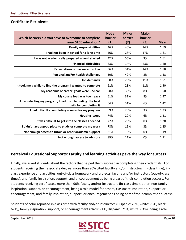## **Certificate Recipients:**

|                                                                                      | Not a   | <b>Minor</b>   | <b>Major</b> |             |
|--------------------------------------------------------------------------------------|---------|----------------|--------------|-------------|
| Which barriers did you have to overcome to complete                                  | barrier | <b>barrier</b> | barrier      |             |
| your STCC education?                                                                 | (1)     | (2)            | (3)          | <b>Mean</b> |
| <b>Family responsibilities</b>                                                       | 46%     | 40%            | 14%          | 1.69        |
| I had not been in school for a long time                                             | 56%     | 28%            | 17%          | 1.61        |
| I was not academically prepared when I started                                       | 42%     | 56%            | 3%           | 1.61        |
| <b>Financial difficulties</b>                                                        | 63%     | 14%            | 23%          | 1.60        |
| <b>Expectations of me were too low</b>                                               | 56%     | 31%            | 14%          | 1.58        |
| Personal and/or health challenges                                                    | 50%     | 42%            | 8%           | 1.58        |
| Job demands                                                                          | 60%     | 29%            | 11%          | 1.51        |
| It took me a while to find the program I wanted to complete                          | 61%     | 28%            | 11%          | 1.50        |
| My academic or career goals were unclear                                             | 58%     | 33%            | 8%           | 1.50        |
| My course load was too heavy                                                         | 61%     | 31%            | 8%           | 1.47        |
| After selecting my program, I had trouble finding the best<br>path for completing it | 64%     | 31%            | 6%           | 1.42        |
| I had difficulty completing courses for my program                                   | 69%     | 28%            | 3%           | 1.33        |
| <b>Housing issues</b>                                                                | 74%     | 20%            | 6%           | 1.31        |
| It was difficult to get into the classes I needed                                    | 72%     | 28%            | 0%           | 1.28        |
| I didn't have a good place to study or complete my work                              | 78%     | 19%            | 3%           | 1.25        |
| Not enough access to tutors or other academic support                                | 81%     | 19%            | 0%           | 1.19        |
| Not enough access to advisors                                                        | 89%     | 11%            | 0%           | 1.11        |

## **Perceived Educational Supports: Faculty and learning activities pave the way for success**

 Finally, we asked students about the factors that helped them succeed in completing their credentials. For students receiving their associate degree, more than 90% cited faculty and/or instructors (in‐class time), in‐ class experience and activities, out‐of‐class homework and projects, faculty and/or instructors (out‐of‐class times), and family inspiration, support, and encouragement as being a part of their completion success. For students receiving certificates, more than 90% faculty and/or instructors (in‐class time), other, non‐family inspiration, support, or encouragement, being a role model for others, classmate inspiration, support, or encouragement, and family inspiration, support, or encouragement as being part of their completion success.

 Students of color reported in‐class time with faculty and/or instructors (Hispanic: 78%, white: 76%, black: 67%), family inspiration, support, or encouragement (black: 71%, Hispanic: 71%, white: 63%), being a role

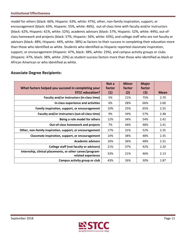model for others (black: 66%, Hispanic: 63%, white: 47%), other, non‐family inspiration, support, or encouragement (black: 63%, Hispanic: 55%, white: 46%), out‐of‐class time with faculty and/or instructors (black: 62%, Hispanic: 61%, white: 52%), academic advisors (black: 57%, Hispanic: 52%, white: 44%), out‐of‐ class homework and projects (black: 57%, Hispanic: 56%, white: 43%), and college staff who are not faculty or advisors (black: 48%, Hispanic: 44%, white: 38%) as factors to their success in completing their education more than those who identified as white. Students who identified as Hispanic reported classmate inspiration, support, or encouragement (Hispanic: 47%, black: 38%, white: 23%), and campus activity groups or clubs (Hispanic: 47%, black: 38%, white: 23%) as student success factors more than those who identified as black or African American or who identified as white.

## **Associate Degree Recipients:**

| What factors helped you succeed in completing your<br><b>STCC education?</b>    | Not a<br>factor<br>(1) | <b>Minor</b><br>factor<br>(2) | <b>Major</b><br>factor<br>(3) | <b>Mean</b> |
|---------------------------------------------------------------------------------|------------------------|-------------------------------|-------------------------------|-------------|
| Faculty and/or instructors (in-class time)                                      | 5%                     | 21%                           | 75%                           | 2.70        |
| In-class experience and activities                                              | 6%                     | 28%                           | 66%                           | 2.60        |
| Family inspiration, support, or encouragement                                   | 10%                    | 25%                           | 65%                           | 2.55        |
| Faculty and/or instructors (out-of-class time)                                  | 9%                     | 34%                           | 57%                           | 2.48        |
| Being a role model for others                                                   | 12%                    | 34%                           | 54%                           | 2.42        |
| Out-of-class homework and projects                                              | 7%                     | 44%                           | 48%                           | 2.41        |
| Other, non-family inspiration, support, or encouragement                        | 17%                    | 31%                           | 52%                           | 2.35        |
| Classmate inspiration, support, or encouragement                                | 14%                    | 38%                           | 48%                           | 2.35        |
| <b>Academic advisors</b>                                                        | 16%                    | 36%                           | 48%                           | 2.31        |
| College staff (not faculty or advisors)                                         | 21%                    | 37%                           | 42%                           | 2.20        |
| Internship, clinical placements, or other career/program-<br>related experience | 33%                    | 21%                           | 46%                           | 2.13        |
| Campus activity group or club                                                   | 43%                    | 26%                           | 30%                           | 1.87        |

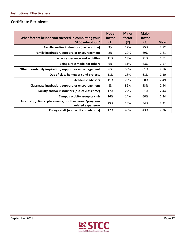## **Certificate Recipients:**

| What factors helped you succeed in completing your                              | Not a<br>factor   | <b>Minor</b><br>factor | <b>Major</b><br>factor |             |
|---------------------------------------------------------------------------------|-------------------|------------------------|------------------------|-------------|
| <b>STCC education?</b>                                                          | $\left( 1\right)$ | (2)                    | (3)                    | <b>Mean</b> |
| Faculty and/or instructors (in-class time)                                      | 3%                | 22%                    | 75%                    | 2.72        |
| Family inspiration, support, or encouragement                                   | 8%                | 22%                    | 69%                    | 2.61        |
| In-class experience and activities                                              | 11%               | 18%                    | 71%                    | 2.61        |
| Being a role model for others                                                   | 6%                | 31%                    | 63%                    | 2.57        |
| Other, non-family inspiration, support, or encouragement                        | 6%                | 33%                    | 61%                    | 2.56        |
| <b>Out-of-class homework and projects</b>                                       | 11%               | 28%                    | 61%                    | 2.50        |
| <b>Academic advisors</b>                                                        | 11%               | 29%                    | 60%                    | 2.49        |
| Classmate inspiration, support, or encouragement                                | 8%                | 39%                    | 53%                    | 2.44        |
| Faculty and/or instructors (out-of-class time)                                  | 17%               | 22%                    | 61%                    | 2.44        |
| Campus activity group or club                                                   | 26%               | 14%                    | 60%                    | 2.34        |
| Internship, clinical placements, or other career/program-<br>related experience | 23%               | 23%                    | 54%                    | 2.31        |
| College staff (not faculty or advisors)                                         | 17%               | 40%                    | 43%                    | 2.26        |

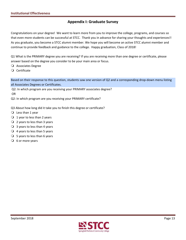## **Appendix I: Graduate Survey**

 Congratulations on your degree! We want to learn more from you to improve the college, programs, and courses so that even more students can be successful at STCC. Thank you in advance for sharing your thoughts and experiences!! As you graduate, you become a STCC alumni member. We hope you will become an active STCC alumni member and continue to provide feedback and guidance to the college. Happy graduation, Class of 2018!

 Q1 What is the PRIMARY degree you are receiving? If you are receiving more than one degree or certificate, please answer based on the degree you consider to be your main area or focus.

Associates Degree

Certificate

 Based on their response to this question, students saw one version of Q2 and a corresponding drop‐down menu listing all Associates Degrees or Certificates.

 Q2: In which program are you receiving your PRIMARY associates degree? OR

Q2: In which program are you receiving your PRIMARY certificate?

Q3 About how long did it take you to finish this degree or certificate?

- $\overline{O}$  Less than 1 year
- $\bigcirc$  1 year to less than 2 years
- $\overline{Q}$  2 years to less than 3 years
- $\bigcirc$  3 years to less than 4 years
- $\bigcirc$  4 years to less than 5 years
- $\bigcirc$  5 years to less than 6 years
- $\overline{O}$  6 or more years

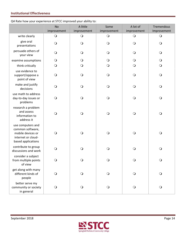Q4 Rate how your experience at STCC improved your ability to:

|                                                                                                        | <b>No</b><br>improvement | A little<br>improvement | Some<br>improvement | A lot of<br>improvement | Tremendous<br>Improvement |
|--------------------------------------------------------------------------------------------------------|--------------------------|-------------------------|---------------------|-------------------------|---------------------------|
| write clearly                                                                                          | $\bigcirc$               | $\bigcirc$              | $\bigcirc$          | $\bigcirc$              | $\bigcirc$                |
| give oral<br>presentations                                                                             | $\bigcirc$               | $\bigcirc$              | $\bigcirc$          | $\bigcirc$              | $\bigcirc$                |
| persuade others of<br>your view                                                                        | $\bigcirc$               | $\bigcirc$              | $\bigcirc$          | $\bigcirc$              | $\bigcirc$                |
| examine assumptions                                                                                    | $\bigcirc$               | $\bigcirc$              | $\bigcirc$          | $\bigcirc$              | $\mathsf{O}$              |
| think critically                                                                                       | $\bigcirc$               | $\bigcirc$              | $\bigcirc$          | $\bigcirc$              | $\bigcirc$                |
| use evidence to<br>support/oppose a<br>point of view                                                   | $\bigcirc$               | $\bigcirc$              | $\bigcirc$          | $\bigcirc$              | $\bigcirc$                |
| make and justify<br>decisions                                                                          | $\bigcirc$               | $\bigcirc$              | $\bigcirc$          | $\bigcirc$              | $\bigcirc$                |
| use math to address<br>day-to-day issues or<br>problems                                                | $\bigcirc$               | $\bigcirc$              | $\bigcirc$          | $\bigcirc$              | $\bigcirc$                |
| research a problem<br>and assess<br>information to<br>address it                                       | $\bigcirc$               | $\bigcirc$              | $\bigcirc$          | $\bigcirc$              | $\bigcirc$                |
| use computers and<br>common software,<br>mobile devices or<br>internet or cloud-<br>based applications | $\circ$                  | $\bigcirc$              | $\bigcirc$          | $\bigcirc$              | $\bigcirc$                |
| contribute to group<br>discussions and work                                                            | ∩                        | $\bigcirc$              | $\bigcirc$          | $\bigcirc$              | $\bigcirc$                |
| consider a subject<br>from multiple points<br>of view                                                  | $\circ$                  | $\circ$                 | $\circ$             | $\circ$                 | $\circ$                   |
| get along with many<br>different kinds of<br>people                                                    | $\bigcirc$               | $\bigcirc$              | $\bigcirc$          | $\bigcirc$              | $\bigcirc$                |
| better serve my<br>community or society<br>in general                                                  | $\bigcirc$               | $\bigcirc$              | $\bigcirc$          | $\bigcirc$              | $\bigcirc$                |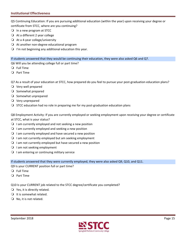Q5 Continuing Education: If you are pursuing additional education (within the year) upon receiving your degree or certificate from STCC, where are you continuing?

- In a new program at STCC
- $\bigcirc$  At a different 2 year college
- At a 4-year college/university
- At another non-degree educational program
- $\bigcirc$  I'm not beginning any additional education this year.

If students answered that they would be continuing their education, they were also asked Q6 and Q7.

Q6 Will you be attending college full or part time?

- Full Time
- Part Time

Q7 As a result of your education at STCC, how prepared do you feel to pursue your post-graduation education plans?

- Very well prepared
- O Somewhat prepared
- O Somewhat unprepared
- Very unprepared
- $\bigcirc$  STCC education had no role in preparing me for my post-graduation education plans

 Q8 Employment Activity: If you are currently employed or seeking employment upon receiving your degree or certificate at STCC, what is your status?

- $\bigcirc$  I am currently employed and not seeking a new position
- $\bigcirc$  I am currently employed and seeking a new position
- $\Omega$  I am currently employed and have secured a new position
- $\bigcirc$  I am not currently employed but am seeking employment
- $\Omega$  I am not currently employed but have secured a new position
- O I am not seeking employment
- $\bigcirc$  I am entering or continuing military service

If students answered that they were currently employed, they were also asked Q9, Q10, and Q11.

Q9 Is your CURRENT position full or part time?

- Full Time
- Part Time

Q10 Is your CURRENT job related to the STCC degree/certificate you completed?

- $\bigcirc$  Yes, it is directly related.
- O It is somewhat related.
- $\bigcirc$  No, it is not related.

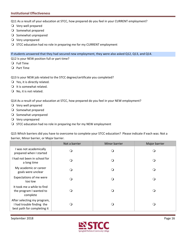Q11 As a result of your education at STCC, how prepared do you feel in your CURRENT employment?

- Very well prepared
- O Somewhat prepared
- O Somewhat unprepared
- Very unprepared
- O STCC education had no role in preparing me for my CURRENT employment

If students answered that they had secured new employment, they were also asked Q12, Q13, and Q14.

Q12 Is your NEW position full or part time?

- Full Time
- Part Time
- Q13 Is your NEW job related to the STCC degree/certificate you completed?
- $\bigcirc$  Yes, it is directly related.
- $\bigcirc$  It is somewhat related.
- O No, it is not related.

Q14 As a result of your education at STCC, how prepared do you feel in your NEW employment?

- Very well prepared
- O Somewhat prepared
- O Somewhat unprepared
- Very unprepared
- $\bigcirc$  STCC education had no role in preparing me for my NEW employment

 Q15 Which barriers did you have to overcome to complete your STCC education? Please indicate if each was: Not a barrier, Minor barrier, or Major barrier.

|                                                                                         | Not a barrier | Minor barrier | Major barrier |
|-----------------------------------------------------------------------------------------|---------------|---------------|---------------|
| I was not academically<br>prepared when I started                                       |               | . .           |               |
| I had not been in school for<br>a long time                                             |               | . .           |               |
| My academic or career<br>goals were unclear                                             |               | 0             |               |
| Expectations of me were<br>too low                                                      |               | . .           |               |
| It took me a while to find<br>the program I wanted to<br>complete                       |               | . .           |               |
| After selecting my program,<br>I had trouble finding the<br>best path for completing it |               | - 1           |               |

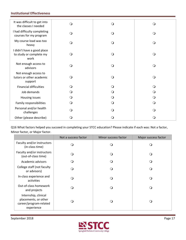| It was difficult to get into<br>the classes I needed          | $\mathsf{O}$ | $\bigcirc$ | O        |
|---------------------------------------------------------------|--------------|------------|----------|
| I had difficulty completing<br>courses for my program         | $\circ$      | O          | Q        |
| My course load was too<br>heavy                               | $\Omega$     | Q          | ∩        |
| I didn't have a good place<br>to study or complete my<br>work | $\Omega$     | Q          | Q        |
| Not enough access to<br>advisors                              | $\circ$      | $\Omega$   | $\Omega$ |
| Not enough access to<br>tutors or other academic<br>support   | $\Omega$     | Q          | ∩        |
| <b>Financial difficulties</b>                                 | Q            | Q          |          |
| Job demands                                                   | $\circ$      | $\Omega$   |          |
| Housing issues                                                | $\Omega$     | Q          |          |
| Family responsibilities                                       | $\circ$      | O          | Q        |
| Personal and/or health<br>challenges                          | $\Omega$     | Q          |          |
| Other (please describe)                                       | Ő            | $\Omega$   |          |

 Q16 What factors helped you succeed in completing your STCC education? Please indicate if each was: Not a factor, Minor factor, or Major factor.

|                                                                                      | Not a success factor | Minor success factor | Major success factor |
|--------------------------------------------------------------------------------------|----------------------|----------------------|----------------------|
| Faculty and/or instructors<br>(in-class time)                                        | ⊖ )                  | ( )                  |                      |
| Faculty and/or instructors<br>(out-of-class time)                                    | ∩ )                  | ∩                    |                      |
| Academic advisors                                                                    |                      | ( )                  |                      |
| College staff (not faculty<br>or advisors)                                           | ່າ                   | ∩                    |                      |
| In-class experience and<br>activities                                                | - 1                  | ∩                    | ∩                    |
| Out-of-class homework<br>and projects                                                | 0                    | ( )                  | 0                    |
| Internship, clinical<br>placements, or other<br>career/program-related<br>experience |                      | ி                    |                      |

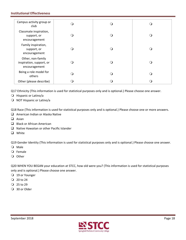| Campus activity group or<br>club                               |  |     |
|----------------------------------------------------------------|--|-----|
| Classmate inspiration,<br>support, or<br>encouragement         |  |     |
| Family inspiration,<br>support, or<br>encouragement            |  |     |
| Other, non-family<br>inspiration, support, or<br>encouragement |  |     |
| Being a role model for<br>others                               |  | . . |
| Other (please describe)                                        |  |     |

Q17 Ethnicity (This information is used for statistical purposes only and is optional.) Please choose one answer.

- O Hispanic or Latino/a
- O NOT Hispanic or Latino/a

Q18 Race (This information is used for statistical purposes only and is optional.) Please choose one or more answers.

- American Indian or Alaska Native
- $\Box$  Asian
- Black or African American
- $\Box$  Native Hawaiian or other Pacific Islander
- **Q** White

Q19 Gender Identity (This information is used for statistical purposes only and is optional.) Please choose one answer.

- O Male
- Female
- O Other

 Q20 WHEN YOU BEGAN your education at STCC, how old were you? (This information is used for statistical purposes only and is optional.) Please choose one answer.

- 19 or Younger
- $Q$  20 to 24
- $Q$  25 to 29
- 30 or Older

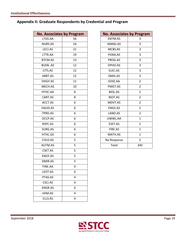## **Appendix II: Graduate Respondents by Credential and Program**

| <b>No. Associates by Program</b> |    |
|----------------------------------|----|
| LTGS.AA                          | 56 |
| <b>NURS.AS</b>                   | 24 |
| LECJ.AS                          | 21 |
| LTTR.AA                          | 19 |
| <b>BTCM.AS</b>                   | 13 |
| <b>BUSN.AS</b>                   | 12 |
| CITS.AS                          | 12 |
| ARBT.AS                          | 12 |
| DHGY.AS                          | 11 |
| MECH.AS                          | 10 |
| HTHC.AA                          | 8  |
| CART.AS                          | 8  |
| ACCT.AS                          | 6  |
| DAUD.AS                          | 6  |
| TPRD.AS                          | 6  |
| OCCP.AS                          | 6  |
| RSPC.AS                          | 6  |
| SURG.AS                          | 6  |
| HTHC.GS                          | 6  |
| CHLD.AS                          | 5  |
| <b>AUTM.AS</b>                   | 5  |
| CSET.AS                          | 5  |
| ENGY.AS                          | 5  |
| DMIR.AS                          | 5  |
| FINF.AA                          | 4  |
| LEOT.AS                          | 4  |
| PTAS.AS                          | 4  |
| CSCI.AS                          | 4  |
| ENGR.AS                          | 4  |
| HIIM.AS                          | 4  |
| CLLS.AS                          | 4  |
|                                  |    |

|                | <b>Associates by Program</b> | <b>No. Associates by Program</b> |                |
|----------------|------------------------------|----------------------------------|----------------|
| TGS.AA         | 56                           | ENTM.AS                          | 3              |
| <b>JURS.AS</b> | 24                           | MANG.AS                          | 3              |
| LECJ.AS        | 21                           | MCBS.AS                          | 3              |
| TTR.AA         | 19                           | POAA.AS                          | 3              |
| <b>TCM.AS</b>  | 13                           | PROG.AS                          | 3              |
| USN .AS        | 12                           | DPHO.AS                          | 3              |
| CITS.AS        | 12                           | ELEC.AS                          | 3              |
| RBT.AS         | 12                           | DMIS.AS                          | 3              |
| HGY.AS         | 11                           | EDSE.AA                          | $\overline{2}$ |
| <b>IECH.AS</b> | 10                           | PMGT.AS                          | $\overline{2}$ |
| <b>ITHC.AA</b> | 8                            | <b>BIOL.AS</b>                   | $\overline{2}$ |
| ART.AS         | 8                            | BIOT.AS                          | $\overline{2}$ |
| <b>ACCT.AS</b> | 6                            | MDVT.AS                          | $\overline{2}$ |
| AUD.AS         | 6                            | ENGS.AS                          | $\overline{2}$ |
| PRD.AS         | 6                            | LAND.AS                          | $\overline{2}$ |
| <b>CCP.AS</b>  | 6                            | UWWL.AA                          | $\mathbf{1}$   |
| <b>SPC.AS</b>  | 6                            | ESET.AS                          | $\mathbf{1}$   |
| URG.AS         | 6                            | FIRE.AS                          | $\mathbf{1}$   |
| <b>ITHC.GS</b> | 6                            | MATH.AS                          | $\mathbf{1}$   |
| HLD.AS         | 5                            | No Response                      | $\overline{2}$ |
| UTM.AS         | 5                            | <b>Total</b>                     | 345            |
|                |                              |                                  |                |